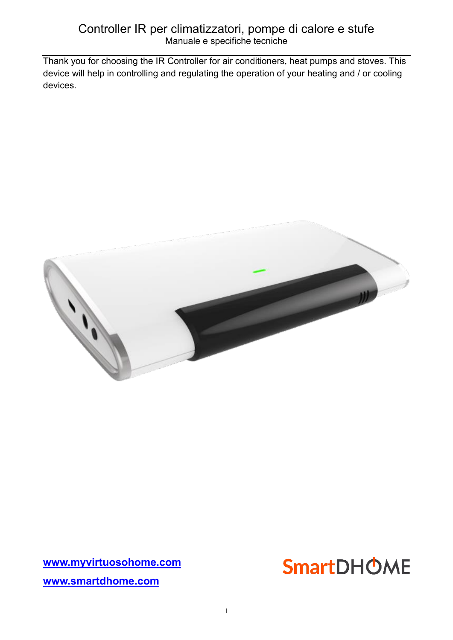## Controller IR per climatizzatori, pompe di calore e stufe Manuale e specifiche tecniche

Thank you for choosing the IR Controller for air conditioners, heat pumps and stoves. This device will help in controlling and regulating the operation of your heating and / or cooling devices.



**[www.myvirtuosohome.com](http://www.myvirtuosohome.com/) [www.smartdhome.com](http://www.smartdhome.com/)**

# **SmartDHOME**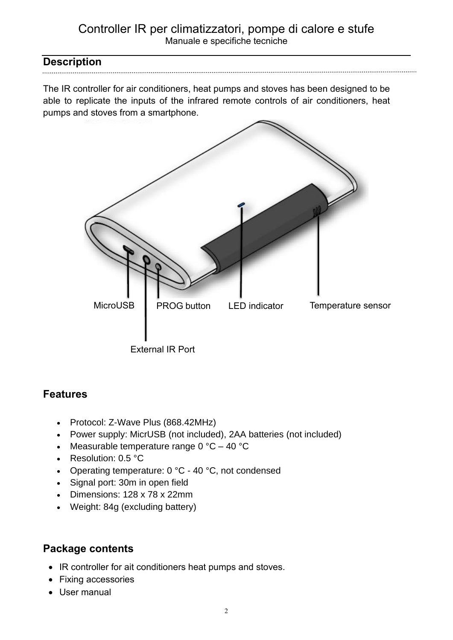## Controller IR per climatizzatori, pompe di calore e stufe Manuale e specifiche tecniche

## **Description**

The IR controller for air conditioners, heat pumps and stoves has been designed to be able to replicate the inputs of the infrared remote controls of air conditioners, heat pumps and stoves from a smartphone.



# **Features**

- Protocol: Z-Wave Plus (868.42MHz)
- Power supply: MicrUSB (not included), 2AA batteries (not included)
- Measurable temperature range  $0^{\circ}C 40^{\circ}C$
- Resolution: 0.5 °C
- Operating temperature: 0 °C 40 °C, not condensed
- Signal port: 30m in open field
- Dimensions: 128 x 78 x 22mm
- Weight: 84g (excluding battery)

# **Package contents**

- IR controller for ait conditioners heat pumps and stoves.
- Fixing accessories
- User manual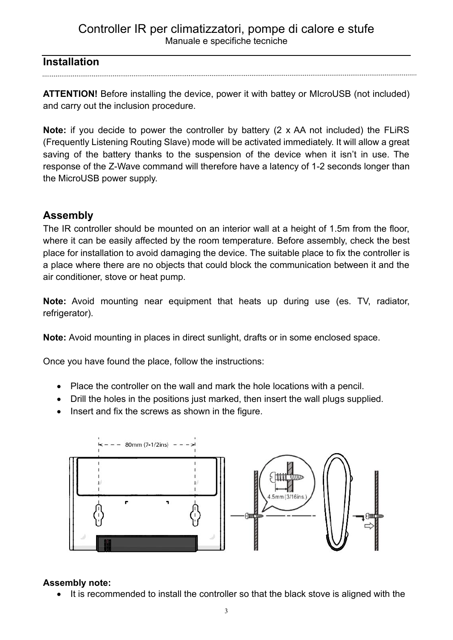## Controller IR per climatizzatori, pompe di calore e stufe Manuale e specifiche tecniche

## **Installation**

**ATTENTION!** Before installing the device, power it with battey or MIcroUSB (not included) and carry out the inclusion procedure.

**Note:** if you decide to power the controller by battery (2 x AA not included) the FLiRS (Frequently Listening Routing Slave) mode will be activated immediately. It will allow a great saving of the battery thanks to the suspension of the device when it isn't in use. The response of the Z-Wave command will therefore have a latency of 1-2 seconds longer than the MicroUSB power supply.

# **Assembly**

The IR controller should be mounted on an interior wall at a height of 1.5m from the floor, where it can be easily affected by the room temperature. Before assembly, check the best place for installation to avoid damaging the device. The suitable place to fix the controller is a place where there are no objects that could block the communication between it and the air conditioner, stove or heat pump.

**Note:** Avoid mounting near equipment that heats up during use (es. TV, radiator, refrigerator).

**Note:** Avoid mounting in places in direct sunlight, drafts or in some enclosed space.

Once you have found the place, follow the instructions:

- Place the controller on the wall and mark the hole locations with a pencil.
- Drill the holes in the positions just marked, then insert the wall plugs supplied.
- Insert and fix the screws as shown in the figure.



#### **Assembly note:**

• It is recommended to install the controller so that the black stove is aligned with the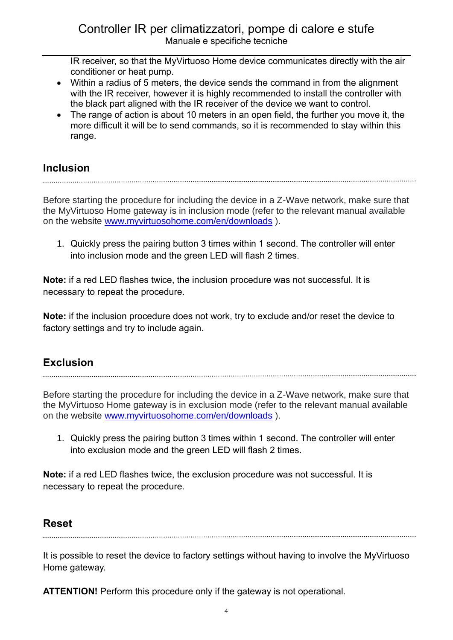IR receiver, so that the MyVirtuoso Home device communicates directly with the air conditioner or heat pump.

- Within a radius of 5 meters, the device sends the command in from the alignment with the IR receiver, however it is highly recommended to install the controller with the black part aligned with the IR receiver of the device we want to control.
- The range of action is about 10 meters in an open field, the further you move it, the more difficult it will be to send commands, so it is recommended to stay within this range.

# **Inclusion**

Before starting the procedure for including the device in a Z-Wave network, make sure that the MyVirtuoso Home gateway is in inclusion mode (refer to the relevant manual available on the website [www.myvirtuosohome.com/en/downloads](http://www.myvirtuosohome.com/en/downloads) ).

1. Quickly press the pairing button 3 times within 1 second. The controller will enter into inclusion mode and the green LED will flash 2 times.

**Note:** if a red LED flashes twice, the inclusion procedure was not successful. It is necessary to repeat the procedure.

**Note:** if the inclusion procedure does not work, try to exclude and/or reset the device to factory settings and try to include again.

# **Exclusion**

Before starting the procedure for including the device in a Z-Wave network, make sure that the MyVirtuoso Home gateway is in exclusion mode (refer to the relevant manual available on the website [www.myvirtuosohome.com/en/downloads](http://www.myvirtuosohome.com/en/downloads) ).

1. Quickly press the pairing button 3 times within 1 second. The controller will enter into exclusion mode and the green LED will flash 2 times.

**Note:** if a red LED flashes twice, the exclusion procedure was not successful. It is necessary to repeat the procedure.

# **Reset**

It is possible to reset the device to factory settings without having to involve the MyVirtuoso Home gateway.

**ATTENTION!** Perform this procedure only if the gateway is not operational.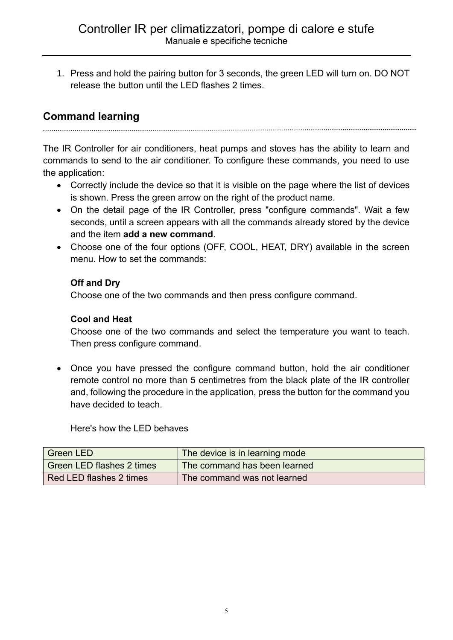1. Press and hold the pairing button for 3 seconds, the green LED will turn on. DO NOT release the button until the LED flashes 2 times.

# **Command learning**

The IR Controller for air conditioners, heat pumps and stoves has the ability to learn and commands to send to the air conditioner. To configure these commands, you need to use the application:

- Correctly include the device so that it is visible on the page where the list of devices is shown. Press the green arrow on the right of the product name.
- On the detail page of the IR Controller, press "configure commands". Wait a few seconds, until a screen appears with all the commands already stored by the device and the item **add a new command**.
- Choose one of the four options (OFF, COOL, HEAT, DRY) available in the screen menu. How to set the commands:

#### **Off and Dry**

Choose one of the two commands and then press configure command.

#### **Cool and Heat**

Choose one of the two commands and select the temperature you want to teach. Then press configure command.

• Once you have pressed the configure command button, hold the air conditioner remote control no more than 5 centimetres from the black plate of the IR controller and, following the procedure in the application, press the button for the command you have decided to teach.

Here's how the LED behaves

| <b>Green LED</b>                 | The device is in learning mode |
|----------------------------------|--------------------------------|
| <b>Green LED flashes 2 times</b> | The command has been learned   |
| Red LED flashes 2 times          | The command was not learned    |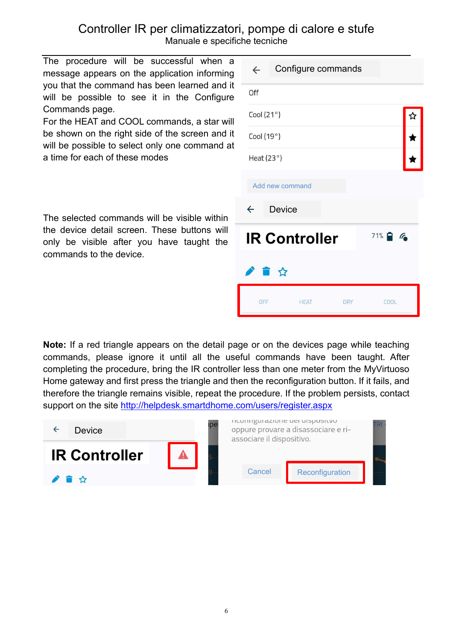The procedure will be successful when a message appears on the application informing you that the command has been learned and it will be possible to see it in the Configure Commands page.

For the HEAT and COOL commands, a star will be shown on the right side of the screen and it will be possible to select only one command at a time for each of these modes

The selected commands will be visible within the device detail screen. These buttons will only be visible after you have taught the commands to the device.

| $\leftarrow$         | Configure commands |            |            |  |  |
|----------------------|--------------------|------------|------------|--|--|
| Off                  |                    |            |            |  |  |
| Cool $(21°)$         |                    |            |            |  |  |
| Cool $(19°)$         |                    |            |            |  |  |
| Heat $(23°)$         |                    |            |            |  |  |
|                      | Add new command    |            |            |  |  |
| $\leftarrow$         | <b>Device</b>      |            |            |  |  |
| <b>IR Controller</b> |                    |            | $71%$ $6%$ |  |  |
| 小音台                  |                    |            |            |  |  |
| OFF                  | <b>HEAT</b>        | <b>DRY</b> | COOL       |  |  |
|                      |                    |            |            |  |  |

**Note:** If a red triangle appears on the detail page or on the devices page while teaching commands, please ignore it until all the useful commands have been taught. After completing the procedure, bring the IR controller less than one meter from the MyVirtuoso Home gateway and first press the triangle and then the reconfiguration button. If it fails, and therefore the triangle remains visible, repeat the procedure. If the problem persists, contact support on the site <http://helpdesk.smartdhome.com/users/register.aspx>